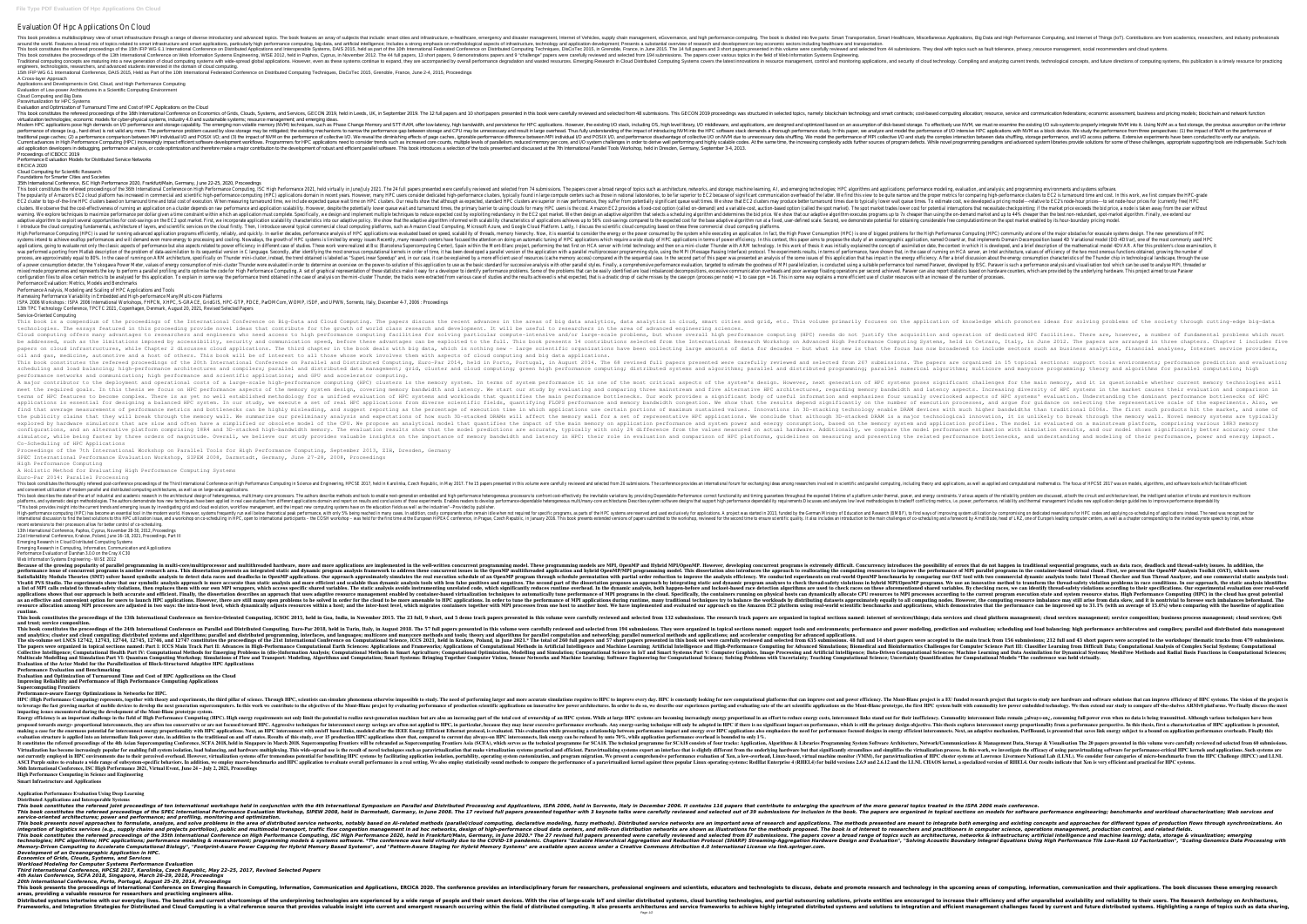## Evaluation Of Hpc Applications On Cloud

This book provides a multidisciplinary view of smart infrastructure through a range of diverse introductory and actorse introductory and advanced topics. The book is divided into five parts: Smart Cities and High Performan around the world. Features a broad mix of topics related to smart infrastructure and smart applications, particularly high performance computing, big data, and application development; Presents a substantial overview of re This book constitutes the refereed proceedings of the 15th IFIP WG 6.1 International Conference on Distributed Applications and Interoperable Systems, DAIS 2015, held as part of the 10th International Federated Computing T This book constitutes the proceedings of the 13th International Conference on Web Information Systems Engineering, WISE 2012, held in Paphos, Cyprus, in November 2012. The 44 full papers, 13 short papers, 13 short papers c Traditional computing concepts are maturing into a new generation of cloud computing systems with wide-spread global applications. However, even as these systems concepts, and the and provation and wasted resources. Emergi engineers, technologists, researchers, and advanced students interested in the domain of cloud computing.

15th IFIP WG 6.1 International Conference, DAIS 2015, Held as Part of the 10th International Federated Conference on Distributed Computing Techniques, DisCoTec 2015, Grenoble, France, June 2-4, 2015, Proceedings A Cross-layer Approach

## Applications and Developments in Grid, Cloud, and High Performance Computing Evaluation of Low-power Architectures in a Scientific Computing Environment

Cloud Computing and Big Data

Paravirtualization for HPC Systems

Evaluation and Optimization of Turnaround Time and Cost of HPC Applications on the Cloud

This book constitutes the refereed proceedings of the 16th International Conference on Economics of Grids, Clouds, Systems, and Services, GECON 2019, held in Leeds, UK, in September 2019, held in Leeds, UK, in September 20 virtualization technologies; economic models for cyber-physical systems, industry 4.0 and sustainable systems; resource management; and emerging ideas. Nodern HPC applications pose high demands on I/O performance and storage capability. The emerging non-volatile memory (NVM) techniques, such as Phase Change Memory and STT-RAM, offer low-latency, I/O middleware, and applic not valid any more. The performance problem caused by slow storage may be mitigated; the existing mechanisms to narrow the performance and model the performance study. In this paper, we analyze and model the existing mecha The impact of NPI collective I/O, and the performance of NPI collective I/O, and C3) the impact of NPI collective I/O, and performance of collective I/O, and performance of MPI collective I/O, and performance of collective Current advances in High Performance Computing (HPC) increasingly impact efficient software development workflows. Programming paradigms and advanced system libraries provide solutions for some of these challenges, appropr aid application developers in debugging, performance analysis, or code optimization and therefore make a major contribution to the development of robust and efficient parallel software. This book introduces a selection of Proceedings of ICBDCC 2019

Performance Evaluation Models for Distributed Service Networks ERCICA 2020

Cloud Computing for Scientific Research

Foundations for Smarter Cities and Societies

35th International Conference, ISC High Performance 2020, Frankfurt/Main, Germany, June 22–25, 2020, Proceedings

This book constitutes the refereed proceedings of the 36th International Conference on High Performance Computing, Al, and emerging technologies; HPC algorithms and applications; performance modeling, evaluation, and analy The popularity of Amazon's EC2 cloud platform has increased in commercial and scientific high-performance computing (HPC) applications domain in recent years. However, many HPC users consider dedicated high-performance clu The HPC cluster to top-of-the-line HPC clusters based on turnaround time and total cost of execution. When measuring turnaround times we include expected queue wait times we include expected, standard HPC clusters are supe are only performance and application on a cluster depends on raw performance and application scalability. However, despite the spot market). The spot market trades lower cost for potential interruptions that necessitate ch warning. We explore techniques to maximize performance per dollar given a time constraint within which an time constraint within which an application must complete. Specifically, we design and implement multiple techniques adaptive algorithm to exploit several opportunities for cost-savings on the EC2 spot market. First, we incorporate application scalability we algorithm informed scale. Second, we demonstrate potential for obtaining conside I introduce the cloud computing fundamentals, architecture of layers, and scientific services on the cloud firstly. Then, I introduce several typical commercial cloud computing platforms, such as Amazon Cloud Computing pla High Performance Computing (HPC) is used for running advanced application programs efficiently, reliably, and quickly. In earlier decades, performance analysis of HPC applications was evaluated based on speed, scalability systems intend to achieve exaflop performances and will demand even more energy to processing and cooling. Nowadays, the growth of HPC applications in terms of power efficiency. In this context, this paper aims to propose applications, going to evaluate not only the classic aspects of performance but also aspects related to power efficiency in different case of studies. These work were realized at Bsc (Barcelona Supercomputing the test firs orthing from Matlab description of the problem of data-assimilation to its sequential version in C language. Secondly, after identifying the most onerous computational kernels in order of time, it has been developed a para nore efficient use of this paper in the sequential case, it can be explained by a more issues of the some issues of this application that has impact in the energy efficiency. After a brief discussion about the energy consu of a power consumption detector, the Yokogawa Power Meter, values of energy consumption of energy consumption of mini-cluster Thunder were evaluation, is conducted using a suitable performance tool named Paraver, developed node programmes and represents the key to perform a parallel profiling and to optimise the code for High Performance of the code for High Performance Computing. A set of graphical representation of these statistics make it the performance treal in metrics to be analysed for this application. To explain in some way the performance trend obtained in the case of analysis on the mini-cluster Thunder, the tracks were extracted from various case o Performance Evaluation: Metrics, Models and Benchmarks

This book is a compendium of the proceedings of the International Conference on Big–Data and Cloud Computing. The papers discuss the recent advances in the areas of big data analytics, data analytics in cloud, smart cities technologies. The essays featured in this proceeding provide novel ideas that contribute for the growth of world class research and development. It will be useful to researchers in the area of advanced engineering sciences. Cloud computing offers many advantages to researchers and engineers who need access to high performance computing (HPC) needs do not justify the acquisition and operation of dedicated HPC facilities. There are, however, a be addressed, such as the limitations imposed by accessibility, security and communication speed, before these advantages can be exploited to the full. This book presents 14 contributions selected from the International Re in the third chapter in the Chapter 2 discusses cloud applications. The third chapter in the book deals with big data, which is nothing new - large scientific organizations have been collecting large amounts of data for de oil and gas, medicine, automotive and a host of others. This book will be of interest to all those whose work involves them with aspects of cloud computing and big data applications. This book constitutes the refereed proceedings of the 20th International Conference on Parallel and Distributed in 15 topical sections: support tools environments; performance prediction and evaluation; This book constitut igh parallel and load balancing; high-performance architectures and compilers; parallel and distributed and distributed and algorithms; multicore and manycore programming; distributed and manycore programming; theory and a performance networks and communication; high performance and scientific applications; and GPU and accelerator computing. A major contributor to the deployment and operational costs of a large-scale high-performance ingh-performance computing (HPC) clusters is the memory, and it is questionable whether current memory technologies will A major neet the required goals. In this thesis we focus on HPC performance aspects of the memory system design, covering memory system design, covering memory bandwidth and latency. We start our study by evaluating and comparing is as yet no well established methodology for a unified evaluation of HPC systems and workloads that quantifies the main performance bothlenecks. Our work provides a significant body of useful information and emphasizes fo execute a set of reasultial for designing a balanced HPC system. In our study, we execution processes, and argue for guidance on selecting the representative scale of the experiments. Also, we applications is essentioned b imal surverse are measurements of performance metrics and bottlenecks can be highly misleading, and suqqest reporting as the percentage of execution time in which applications use certain portions in 3D-stacking technology the publicity claims that they will break through the memory wall. We summarize our preliminary analysis and expectations of how such 3D-stacked DRAM is a major technological innovation, it is unlikely to break through the explored by hardware simulators that are slow and often have a simplified or obsolete model of the memory system and application profiles. The model is evaluated on a mainstream platform, comprising various 18R3 memory exp ionally with only 2% difference stimation are model performance estimation with simulation results, and our model shows significantly better accuracy over the configurations, and an alues measured on actual hardware. Addit imulator, while being faster by three orders of magnitude. Overall, we believe our study provides valuable insights on the importance of memory bandwidth and latency in HPC: their role in evaluable insights on the importan Co-Scheduling of HPC Applications

This book constitutes the thoroughly refereed post-conference proceedings of the Third International Conference on High Performance Computing in Science and parallel computing, including theory and applications, as well as This book describes the state-of-the art of industrial and academic research in the architectural design of heterogeneous, multi/many-core processors. The authors describe methods and timing quarantees throughout the expec nethodologies. The authors demonstrate how new techniques have been applied in real case studies from different applied in real case studies from different applications of those experiments. Enables readers to tradeoff con "This book provides insight into the current trends and emerging issues by investigating grid and cloud evolution, workflow management, and the impact new computing systems have on the education fields as well as the indus High-performance computing (HPC) has become an essential tool in the modern world. However, systems frequently run well below the German Ministry of Education and Research (BMBF), to find ways of improving system utilizati international discussion to find the best solutions to this HPC utilization issue, and a workshop on co-scheduling in HPC, open to international participants – the COSH workshop, reviewed for the second time to the main ch recent extensions to their processors allow for better control of co-scheduling. 13th International Conference, Paphos, Cyprus, November 28-30, 2012, Proceedings

Performance Analysis, Modeling and Scaling of HPC Applications and Tools

notel arrowing popularity of parallel programming in multi-core/multiprocessor and multiprocessor and multithreaded hardware, more and more applications are implemented in the well-written concurrency introduces the possib nother research area. This dissertation presents an integrated static and dynamic program analysis framework to address these concurrent issues in the OpenMP multithreaded application and hybrid OpenMP/MPI programming mode Satisfiability Modulo Theories (SMT) solver based symbolic analysis to detect data races and deadlocks in OpenMP applications. Our approximately simulates the real execution schedule of an OpenMP program through schedule o Viva64 PVS Studio. The experiments show that our symbolic analysis approach is more accurate than static and scalable than static and more efficient and scalable than dynamic analysis tools with less false positives and mo ist of MPI calls related to thread-safety violations, then replaces them with our own MPI wrappers, which access specific shared variables. By checking races, we can identify thread-safety violations according to their spe applications shows that our approach is both accurate and efficient. Finally, the dissertation describes an approach that uses adaptive resource management enabled by container-based virtualization techniques to automatica as an effective and convenient option for users to launch HPC applications. However, there are still many open problems to be solved in order for the computing nodes. However, the computing nodes. However, the computing re resource allocation among MPI processes are adjusted in two ways: the intra-host level, which dynamically adjusts resources within a host; and the performance can be improved up to 31.1% (with an average of 15.6%) when com **runtime.**

Harnessing Performance Variability in Embedded and High-performance Many/Multi-core Platforms ISPA 2006 Workshops : ISPA 2006 International Workshops, FHPCN, XHPC, S-GRACE, GridGIS, HPC-GTP, PDCE, ParDMCom, WOMP, ISDF, and UPWN, Sorrento, Italy, December 4-7, 2006 : Proceedings 13th TPC Technology Conference, TPCTC 2021, Copenhagen, Denmark, August 20, 2021, Revised Selected Papers

This book constitutes the proceedings of the 13th International Conference on Service-Oriented Computing, ICSOC 2015, held in Goa, India, in November 2015. The 23 full, 9 short, and 5 demo track papers presented in this vo **and trust; service composition.**

Service-Oriented Computing

This book constitutes the proceedings of the 24th International Conference on Parallel and Distributed Computing, Euro-Par 2018, held in Turin, Italy, in August 2018. The 57 full papers presented in topical sections named: and analytics; cluster and cloud computing; distributed systems and algorithms; parallel and distributed programming, interfaces, and languages; multicore and manycore methods and networking; parallel numerical methods and The six-volume set LNCS 12742, 12743, 12744, 12745, 12746, and 12747 constitutes the proceedings of the 21st International Conference on Computational Science, ICCS 2021, held in Krakow, Poland, in June 2021.\* The total of The papers were organized in topical sections named: Part I: ICCS Main Track Part II: Advances in High-Performance Computational Earth Sciences: Applications and Bioinformatics Challenges for Computer Science Part III: Cla Collective Intelligence; Computational Health Part IV: Computational Methods for Emerging Problems in (dis-)Information Analysis; Computational Methods in Smart Agriculture; Computational Sciences; Machine Learning and Dat Multiscale Modelling and Simulation Part VI: Quantum Computing Workshop; Simulations of Flow and Transport: Modeling, Algorithms and Computational Science; Uncertainty Quantification for Computational Models \*The conferenc **Evaluation of the Actor Model for the Parallelization of Block-Structured Adaptive HPC Applications Performance Evaluation and Benchmarking**

HPC (High Performance Computing) represents, together with theory and experiments, the third pillar of science. Through HPC, scientists can simulate phenomena otherwise impossible to study new hardware and software solutio to leverage the fast growing market of mobile devices to develop the next generation supercomputers. In this work we contribute to the objectives of the art scientific applications on innovative low power architectures. In **impacting issues encountered during the development of the Mont-Blanc prototype system.**

Energy efficiency is an important challenge in the field of High Performance Computing (HPC). High energy requirements not only limit the potential to realize next-generation machines but are also an increasingly energy re norgy- proportional interconnects, they are often too conservative or are not focused toward HPC. Aggressive techniques for interconnect energy proportionality from a performance overheads. Any energy savings are often not naking a case for the enormous potential for interconnect energy proportionality with HPC applications. Next, an HPC applications. Next, an adaptive mechanism, PerfBound, is presented that saves link energy subiect to a bo evaluation structure is applied into an intermediate link power state, in addition to the traditional on and off states. Results of this study, over 15 production HPC applications show that, compared to current day always-It constitutes the refereed proceedings of the 4th Asian Supercomputing Conference, SCFA 2018, held in Singapore in March 2018, held in Singapore in March 2018. Supercomputing Frontiers will be rebranded as Supercomputing Virtualization has become increasingly popular for enabling full system isolation, load balancing, and hardware multiplexing, and hardware multiplexing. This wide-spread use is the result of novel techniques such as paravi not currently employed in HPC environments due to their perceived overhead. However, virtualization systems offer tremendous potential for benefiting HPC cluster systems at Lawrence Livermore National Lab (LLNL). We consid ASCI Purple suites to evaluate a wide range of subsystem-specific behaviors. In addition, we employ macro-benchmarks and HPC application to evaluate overall performance in a real setting. We also employ statistically sound **36th International Conference, ISC High Performance 2021, Virtual Event, June 24 – July 2, 2021, Proceedings High Performance Computing in Science and Engineering**

This book presents novel approaches to formulate, analyze, and solve problems in the area of distributed service networks, notably based on Al-related methods (parallel/cloud computing, declarative modeling, fuzzy methods) integration of logistics services (e.g., supply chains and projects portfolios), public and multimodal transport, traffic flow congestion management in ad hoc networks, design of high-performance cloud data centers, and mi This book constitutes the refereed proceedings of the 35th International Conference on High Performance Computing, ISC High Performance Computing, ISC High Performance 2020.\* The 27 revised full papers presented were caref Formaning models & systems undefection and Evaluation and Evaluation Protocol (SHARP) Streaming models & systems software. \*The conference was held virtually due to the COVID-19 pandemic. Chapters "Scalable Hierarchical Ag Memory-Driven Computing to Accelerate Computational Biology", "Footprint-Aware Power Capping for Hybrid Memory Based Systems", and "Pattern-Aware Staging for Hybrid Memory Systems" are available open access under a Creativ *Development of an Oceanographic Application in HPC.*

Proceedings of the 7th International Workshop on Parallel Tools for High Performance Computing, September 2013, ZIH, Dresden, Germany SPEC International Performance Evaluation Workshop, SIPEW 2008, Darmstadt, Germany, June 27-28, 2008, Proceedings High Performance Computing

A Holistic Method for Evaluating High Performance Computing Systems

Euro-Par 2014: Parallel Processing

Distributed systems intertwine with our everyday lives. The benefits and current shortcomings of the underpinning sof the underpinning technologies, and offer unparalleled availability and reliability and reliability to th Frameworks, and Integration Strategies for Distributed and Cloud Computing is a vital reference source that provides valuable insight into current and future distributed systems. Highlighting a range of topics such as data Page 1/2

and convenient utilization of modern parallel and distributed computing architectures, as well as on large-scale applications.

21st International Conference, Krakow, Poland, June 16–18, 2021, Proceedings, Part III

Emerging Research in Cloud Distributed Computing Systems Emerging Research in Computing, Information, Communication and Applications

Performance Evaluation of Darshan 3.0.0 on the Cray XC30

Web Information Systems Engineering - WISE 2012

**Evaluation and Optimization of Turnaround Time and Cost of HPC Applications on the Cloud**

**Improving Reliability and Performance of High Performance Computing Applications Supercomputing Frontiers**

**Performance-aware Energy Optimizations in Networks for HPC.**

**Smart Infrastructure and Applications**

**Application Performance Evaluation Using Deep Learning**

**Distributed Applications and Interoperable Systems** This book constitutes the refereed joint proceedings of ten international workshops held in conjunction with the 4th International Symposium on Parallel and Distributed Processing and Applications, ISPA 2006, held in Sorre This book constitutes the refereed proceedings of the SPEC International Performance Evaluation Workshop, SIPEW 2008, held in topical sections on models for software performance engineering; benchmarks and workload charact *service-oriented architectures; power and performance; and profiling, monitoring and optimization.*

*Economics of Grids, Clouds, Systems, and Services*

*Workload Modeling for Computer Systems Performance Evaluation*

*Third International Conference, HPCSE 2017, Karolinka, Czech Republic, May 22–25, 2017, Revised Selected Papers*

*4th Asian Conference, SCFA 2018, Singapore, March 26-29, 2018, Proceedings*

*20th International Conference, Porto, Portugal, August 25-29, 2014, Proceedings* This book presents the proceedings of International Conference on Emerging Research in Computing, Information, Information, Information, information, communication and the ir applications. The book discusses these emerging **areas, providing a valuable resource for researchers and practicing engineers alike.**